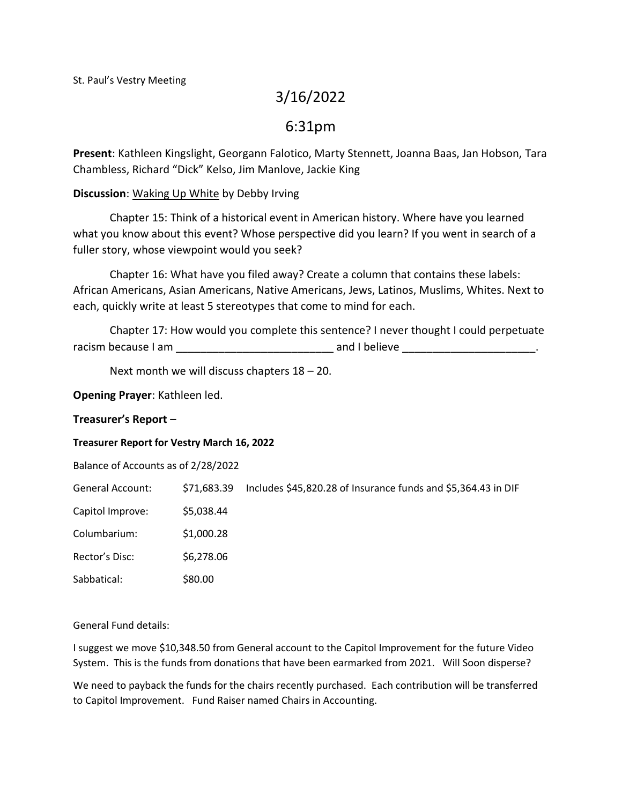# 3/16/2022

# 6:31pm

**Present**: Kathleen Kingslight, Georgann Falotico, Marty Stennett, Joanna Baas, Jan Hobson, Tara Chambless, Richard "Dick" Kelso, Jim Manlove, Jackie King

## **Discussion**: Waking Up White by Debby Irving

Chapter 15: Think of a historical event in American history. Where have you learned what you know about this event? Whose perspective did you learn? If you went in search of a fuller story, whose viewpoint would you seek?

Chapter 16: What have you filed away? Create a column that contains these labels: African Americans, Asian Americans, Native Americans, Jews, Latinos, Muslims, Whites. Next to each, quickly write at least 5 stereotypes that come to mind for each.

Chapter 17: How would you complete this sentence? I never thought I could perpetuate racism because I am  $\qquad \qquad \qquad \qquad$  and I believe \_\_\_\_\_\_\_\_\_\_\_\_\_\_\_\_\_\_\_\_\_\_\_\_\_\_\_\_\_\_\_\_

Next month we will discuss chapters 18 – 20.

**Opening Prayer**: Kathleen led.

### **Treasurer's Report** –

### **Treasurer Report for Vestry March 16, 2022**

Balance of Accounts as of 2/28/2022

General Account: \$71,683.39 Includes \$45,820.28 of Insurance funds and \$5,364.43 in DIF

Capitol Improve: \$5,038.44

Columbarium: \$1,000.28

Rector's Disc: \$6,278.06

Sabbatical: \$80.00

### General Fund details:

I suggest we move \$10,348.50 from General account to the Capitol Improvement for the future Video System. This is the funds from donations that have been earmarked from 2021. Will Soon disperse?

We need to payback the funds for the chairs recently purchased. Each contribution will be transferred to Capitol Improvement. Fund Raiser named Chairs in Accounting.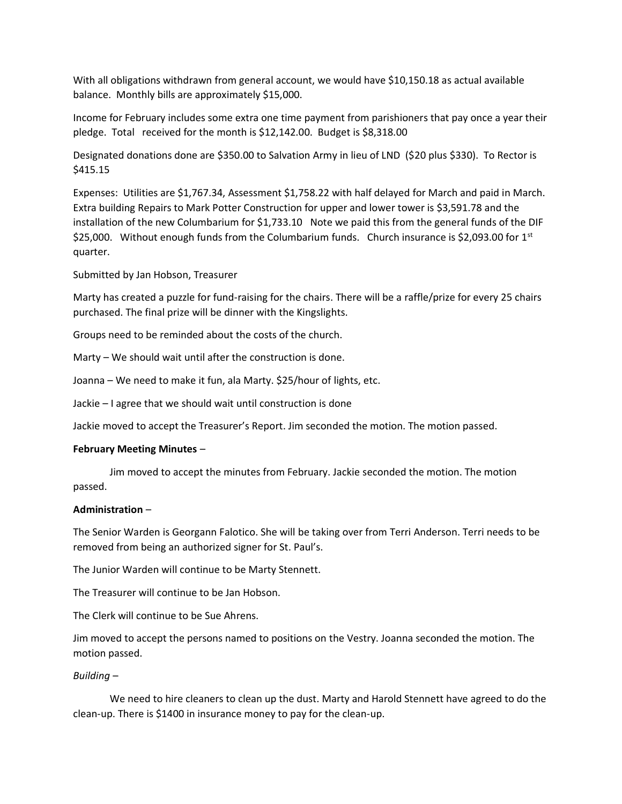With all obligations withdrawn from general account, we would have \$10,150.18 as actual available balance. Monthly bills are approximately \$15,000.

Income for February includes some extra one time payment from parishioners that pay once a year their pledge. Total received for the month is \$12,142.00. Budget is \$8,318.00

Designated donations done are \$350.00 to Salvation Army in lieu of LND (\$20 plus \$330). To Rector is \$415.15

Expenses: Utilities are \$1,767.34, Assessment \$1,758.22 with half delayed for March and paid in March. Extra building Repairs to Mark Potter Construction for upper and lower tower is \$3,591.78 and the installation of the new Columbarium for \$1,733.10 Note we paid this from the general funds of the DIF \$25,000. Without enough funds from the Columbarium funds. Church insurance is \$2,093.00 for  $1^{st}$ quarter.

Submitted by Jan Hobson, Treasurer

Marty has created a puzzle for fund-raising for the chairs. There will be a raffle/prize for every 25 chairs purchased. The final prize will be dinner with the Kingslights.

Groups need to be reminded about the costs of the church.

Marty – We should wait until after the construction is done.

Joanna – We need to make it fun, ala Marty. \$25/hour of lights, etc.

Jackie – I agree that we should wait until construction is done

Jackie moved to accept the Treasurer's Report. Jim seconded the motion. The motion passed.

#### **February Meeting Minutes** –

Jim moved to accept the minutes from February. Jackie seconded the motion. The motion passed.

#### **Administration** –

The Senior Warden is Georgann Falotico. She will be taking over from Terri Anderson. Terri needs to be removed from being an authorized signer for St. Paul's.

The Junior Warden will continue to be Marty Stennett.

The Treasurer will continue to be Jan Hobson.

The Clerk will continue to be Sue Ahrens.

Jim moved to accept the persons named to positions on the Vestry. Joanna seconded the motion. The motion passed.

### *Building* –

We need to hire cleaners to clean up the dust. Marty and Harold Stennett have agreed to do the clean-up. There is \$1400 in insurance money to pay for the clean-up.